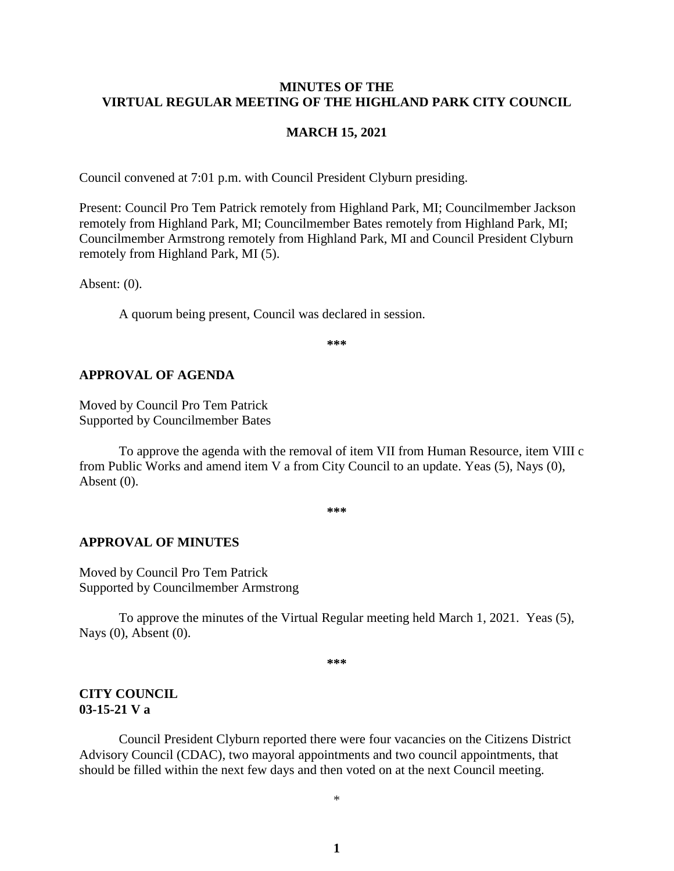### **MINUTES OF THE VIRTUAL REGULAR MEETING OF THE HIGHLAND PARK CITY COUNCIL**

### **MARCH 15, 2021**

Council convened at 7:01 p.m. with Council President Clyburn presiding.

Present: Council Pro Tem Patrick remotely from Highland Park, MI; Councilmember Jackson remotely from Highland Park, MI; Councilmember Bates remotely from Highland Park, MI; Councilmember Armstrong remotely from Highland Park, MI and Council President Clyburn remotely from Highland Park, MI (5).

Absent: (0).

A quorum being present, Council was declared in session.

**\*\*\***

### **APPROVAL OF AGENDA**

Moved by Council Pro Tem Patrick Supported by Councilmember Bates

To approve the agenda with the removal of item VII from Human Resource, item VIII c from Public Works and amend item V a from City Council to an update. Yeas (5), Nays (0), Absent (0).

**\*\*\***

#### **APPROVAL OF MINUTES**

Moved by Council Pro Tem Patrick Supported by Councilmember Armstrong

To approve the minutes of the Virtual Regular meeting held March 1, 2021.Yeas (5), Nays (0), Absent (0).

**\*\*\***

### **CITY COUNCIL 03-15-21 V a**

Council President Clyburn reported there were four vacancies on the Citizens District Advisory Council (CDAC), two mayoral appointments and two council appointments, that should be filled within the next few days and then voted on at the next Council meeting.

\*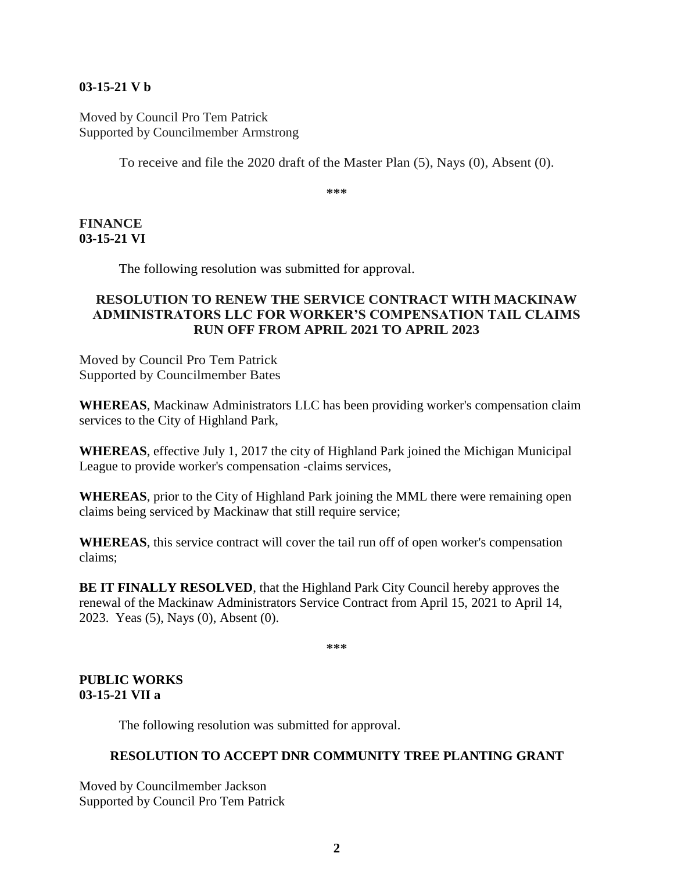## **03-15-21 V b**

Moved by Council Pro Tem Patrick Supported by Councilmember Armstrong

To receive and file the 2020 draft of the Master Plan (5), Nays (0), Absent (0).

**\*\*\***

### **FINANCE 03-15-21 VI**

The following resolution was submitted for approval.

## **RESOLUTION TO RENEW THE SERVICE CONTRACT WITH MACKINAW ADMINISTRATORS LLC FOR WORKER'S COMPENSATION TAIL CLAIMS RUN OFF FROM APRIL 2021 TO APRIL 2023**

Moved by Council Pro Tem Patrick Supported by Councilmember Bates

**WHEREAS**, Mackinaw Administrators LLC has been providing worker's compensation claim services to the City of Highland Park,

**WHEREAS**, effective July 1, 2017 the city of Highland Park joined the Michigan Municipal League to provide worker's compensation -claims services,

**WHEREAS**, prior to the City of Highland Park joining the MML there were remaining open claims being serviced by Mackinaw that still require service;

**WHEREAS**, this service contract will cover the tail run off of open worker's compensation claims;

**BE IT FINALLY RESOLVED**, that the Highland Park City Council hereby approves the renewal of the Mackinaw Administrators Service Contract from April 15, 2021 to April 14, 2023. Yeas (5), Nays (0), Absent (0).

**\*\*\***

## **PUBLIC WORKS 03-15-21 VII a**

The following resolution was submitted for approval.

### **RESOLUTION TO ACCEPT DNR COMMUNITY TREE PLANTING GRANT**

Moved by Councilmember Jackson Supported by Council Pro Tem Patrick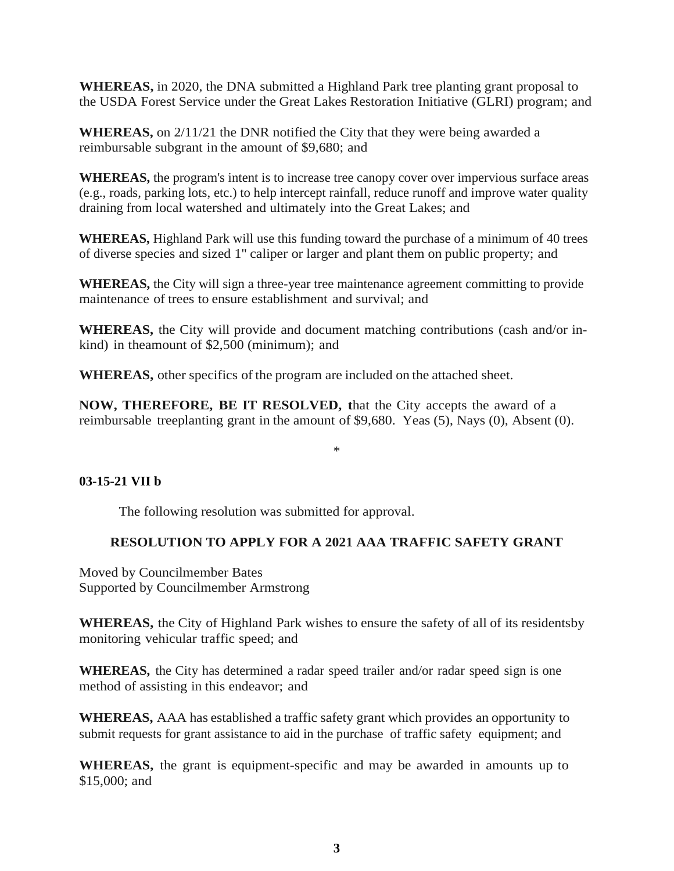**WHEREAS,** in 2020, the DNA submitted a Highland Park tree planting grant proposal to the USDA Forest Service under the Great Lakes Restoration Initiative (GLRI) program; and

**WHEREAS,** on 2/11/21 the DNR notified the City that they were being awarded a reimbursable subgrant in the amount of \$9,680; and

WHEREAS, the program's intent is to increase tree canopy cover over impervious surface areas (e.g., roads, parking lots, etc.) to help intercept rainfall, reduce runoff and improve water quality draining from local watershed and ultimately into the Great Lakes; and

**WHEREAS,** Highland Park will use this funding toward the purchase of a minimum of 40 trees of diverse species and sized 1" caliper or larger and plant them on public property; and

**WHEREAS,** the City will sign a three-year tree maintenance agreement committing to provide maintenance of trees to ensure establishment and survival; and

**WHEREAS,** the City will provide and document matching contributions (cash and/or inkind) in theamount of \$2,500 (minimum); and

**WHEREAS,** other specifics of the program are included on the attached sheet.

**NOW, THEREFORE, BE IT RESOLVED, t**hat the City accepts the award of a reimbursable treeplanting grant in the amount of \$9,680. Yeas (5), Nays (0), Absent (0).

#### \*

### **03-15-21 VII b**

The following resolution was submitted for approval.

## **RESOLUTION TO APPLY FOR A 2021 AAA TRAFFIC SAFETY GRANT**

Moved by Councilmember Bates Supported by Councilmember Armstrong

**WHEREAS,** the City of Highland Park wishes to ensure the safety of all of its residentsby monitoring vehicular traffic speed; and

**WHEREAS,** the City has determined a radar speed trailer and/or radar speed sign is one method of assisting in this endeavor; and

**WHEREAS,** AAA has established a traffic safety grant which provides an opportunity to submit requests for grant assistance to aid in the purchase of traffic safety equipment; and

**WHEREAS,** the grant is equipment-specific and may be awarded in amounts up to \$15,000; and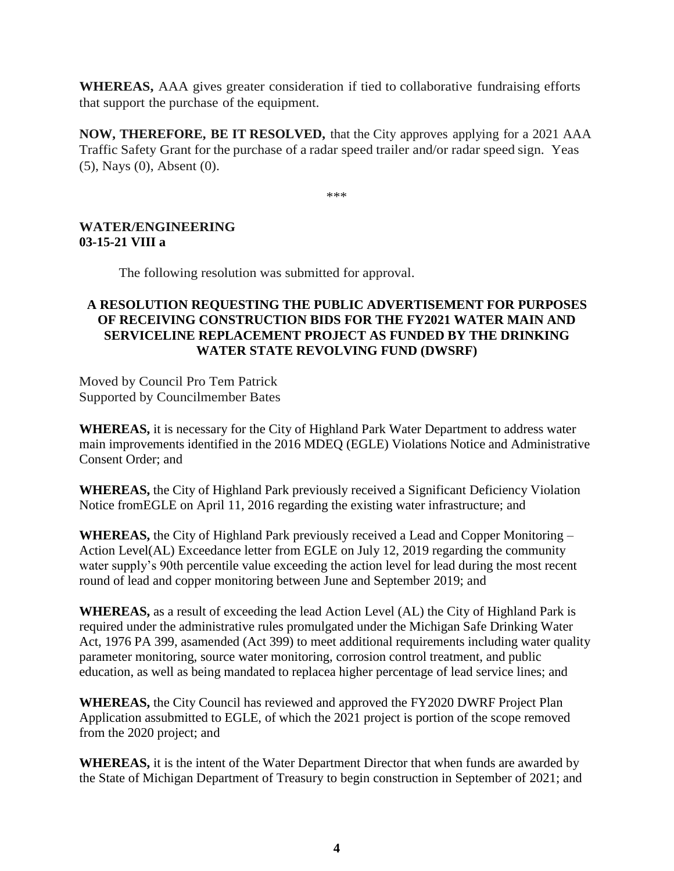**WHEREAS,** AAA gives greater consideration if tied to collaborative fundraising efforts that support the purchase of the equipment.

**NOW, THEREFORE, BE IT RESOLVED,** that the City approves applying for a 2021 AAA Traffic Safety Grant for the purchase of a radar speed trailer and/or radar speed sign. Yeas (5), Nays (0), Absent (0).

\*\*\*

# **WATER/ENGINEERING 03-15-21 VIII a**

The following resolution was submitted for approval.

## **A RESOLUTION REQUESTING THE PUBLIC ADVERTISEMENT FOR PURPOSES OF RECEIVING CONSTRUCTION BIDS FOR THE FY2021 WATER MAIN AND SERVICELINE REPLACEMENT PROJECT AS FUNDED BY THE DRINKING WATER STATE REVOLVING FUND (DWSRF)**

Moved by Council Pro Tem Patrick Supported by Councilmember Bates

**WHEREAS,** it is necessary for the City of Highland Park Water Department to address water main improvements identified in the 2016 MDEQ (EGLE) Violations Notice and Administrative Consent Order; and

**WHEREAS,** the City of Highland Park previously received a Significant Deficiency Violation Notice fromEGLE on April 11, 2016 regarding the existing water infrastructure; and

**WHEREAS,** the City of Highland Park previously received a Lead and Copper Monitoring – Action Level(AL) Exceedance letter from EGLE on July 12, 2019 regarding the community water supply's 90th percentile value exceeding the action level for lead during the most recent round of lead and copper monitoring between June and September 2019; and

**WHEREAS,** as a result of exceeding the lead Action Level (AL) the City of Highland Park is required under the administrative rules promulgated under the Michigan Safe Drinking Water Act, 1976 PA 399, asamended (Act 399) to meet additional requirements including water quality parameter monitoring, source water monitoring, corrosion control treatment, and public education, as well as being mandated to replacea higher percentage of lead service lines; and

**WHEREAS,** the City Council has reviewed and approved the FY2020 DWRF Project Plan Application assubmitted to EGLE, of which the 2021 project is portion of the scope removed from the 2020 project; and

**WHEREAS,** it is the intent of the Water Department Director that when funds are awarded by the State of Michigan Department of Treasury to begin construction in September of 2021; and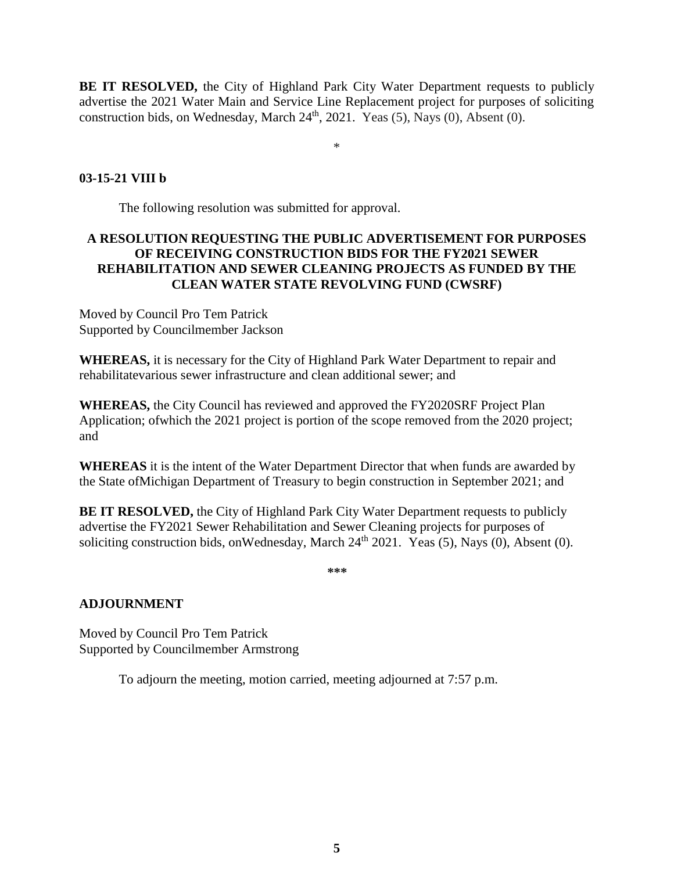**BE IT RESOLVED,** the City of Highland Park City Water Department requests to publicly advertise the 2021 Water Main and Service Line Replacement project for purposes of soliciting construction bids, on Wednesday, March  $24<sup>th</sup>$ ,  $2021$ . Yeas (5), Nays (0), Absent (0).

\*

## **03-15-21 VIII b**

The following resolution was submitted for approval.

# **A RESOLUTION REQUESTING THE PUBLIC ADVERTISEMENT FOR PURPOSES OF RECEIVING CONSTRUCTION BIDS FOR THE FY2021 SEWER REHABILITATION AND SEWER CLEANING PROJECTS AS FUNDED BY THE CLEAN WATER STATE REVOLVING FUND (CWSRF)**

Moved by Council Pro Tem Patrick Supported by Councilmember Jackson

**WHEREAS,** it is necessary for the City of Highland Park Water Department to repair and rehabilitatevarious sewer infrastructure and clean additional sewer; and

**WHEREAS,** the City Council has reviewed and approved the FY2020SRF Project Plan Application; ofwhich the 2021 project is portion of the scope removed from the 2020 project; and

**WHEREAS** it is the intent of the Water Department Director that when funds are awarded by the State ofMichigan Department of Treasury to begin construction in September 2021; and

**BE IT RESOLVED,** the City of Highland Park City Water Department requests to publicly advertise the FY2021 Sewer Rehabilitation and Sewer Cleaning projects for purposes of soliciting construction bids, on Wednesday, March  $24<sup>th</sup> 2021$ . Yeas (5), Nays (0), Absent (0).

**\*\*\***

## **ADJOURNMENT**

Moved by Council Pro Tem Patrick Supported by Councilmember Armstrong

To adjourn the meeting, motion carried, meeting adjourned at 7:57 p.m.